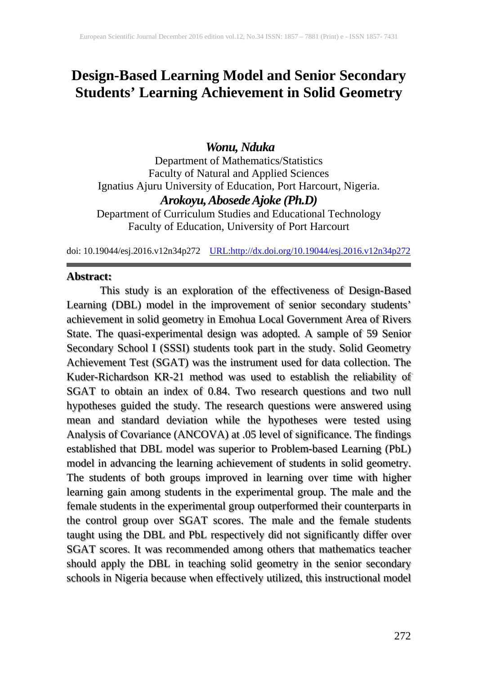# **Design-Based Learning Model and Senior Secondary Students' Learning Achievement in Solid Geometry**

# *Wonu, Nduka*

Department of Mathematics/Statistics Faculty of Natural and Applied Sciences Ignatius Ajuru University of Education, Port Harcourt, Nigeria. *Arokoyu, Abosede Ajoke (Ph.D)* Department of Curriculum Studies and Educational Technology Faculty of Education, University of Port Harcourt

doi: 10.19044/esj.2016.v12n34p272 [URL:http://dx.doi.org/10.19044/esj.2016.v12n34p272](http://dx.doi.org/10.19044/esj.2016.v12n34p272)

### **Abstract:**

This study is an exploration of the effectiveness of Design-Based Learning (DBL) model in the improvement of senior secondary students' achievement in solid geometry in Emohua Local Government Area of Rivers State. The quasi-experimental design was adopted. A sample of 59 Senior Secondary School I (SSSI) students took part in the study. Solid Geometry Achievement Test (SGAT) was the instrument used for data collection. The Kuder-Richardson KR-21 method was used to establish the reliability of SGAT to obtain an index of 0.84. Two research questions and two null hypotheses guided the study. The research questions were answered using mean and standard deviation while the hypotheses were tested using Analysis of Covariance (ANCOVA) at .05 level of significance. The findings established that DBL model was superior to Problem-based Learning (PbL) model in advancing the learning achievement of students in solid geometry. The students of both groups improved in learning over time with higher learning gain among students in the experimental group. The male and the female students in the experimental group outperformed their counterparts in the control group over SGAT scores. The male and the female students taught using the DBL and PbL respectively did not significantly differ over SGAT scores. It was recommended among others that mathematics teacher should apply the DBL in teaching solid geometry in the senior secondary schools in Nigeria because when effectively utilized, this instructional model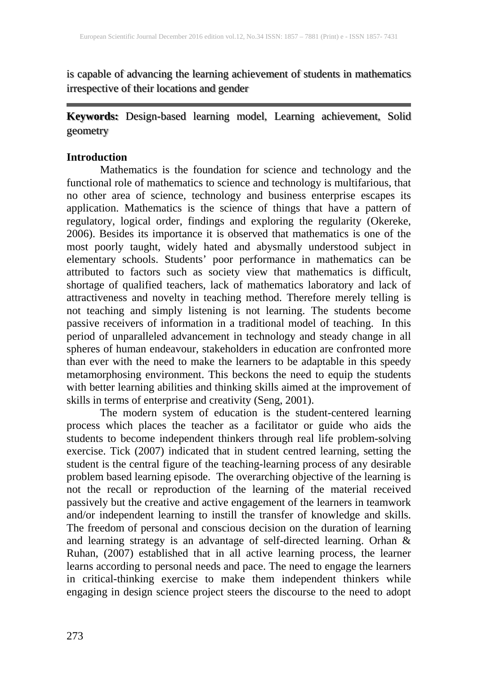is capable of advancing the learning achievement of students in mathematics irrespective of their locations and gender

# **Keywords:** Design-based learning model, Learning achievement, Solid geometry

### **Introduction**

Mathematics is the foundation for science and technology and the functional role of mathematics to science and technology is multifarious, that no other area of science, technology and business enterprise escapes its application. Mathematics is the science of things that have a pattern of regulatory, logical order, findings and exploring the regularity (Okereke, 2006). Besides its importance it is observed that mathematics is one of the most poorly taught, widely hated and abysmally understood subject in elementary schools. Students' poor performance in mathematics can be attributed to factors such as society view that mathematics is difficult, shortage of qualified teachers, lack of mathematics laboratory and lack of attractiveness and novelty in teaching method. Therefore merely telling is not teaching and simply listening is not learning. The students become passive receivers of information in a traditional model of teaching. In this period of unparalleled advancement in technology and steady change in all spheres of human endeavour, stakeholders in education are confronted more than ever with the need to make the learners to be adaptable in this speedy metamorphosing environment. This beckons the need to equip the students with better learning abilities and thinking skills aimed at the improvement of skills in terms of enterprise and creativity (Seng, 2001).

The modern system of education is the student-centered learning process which places the teacher as a facilitator or guide who aids the students to become independent thinkers through real life problem-solving exercise. Tick (2007) indicated that in student centred learning, setting the student is the central figure of the teaching-learning process of any desirable problem based learning episode. The overarching objective of the learning is not the recall or reproduction of the learning of the material received passively but the creative and active engagement of the learners in teamwork and/or independent learning to instill the transfer of knowledge and skills. The freedom of personal and conscious decision on the duration of learning and learning strategy is an advantage of self-directed learning. Orhan & Ruhan, (2007) established that in all active learning process, the learner learns according to personal needs and pace. The need to engage the learners in critical-thinking exercise to make them independent thinkers while engaging in design science project steers the discourse to the need to adopt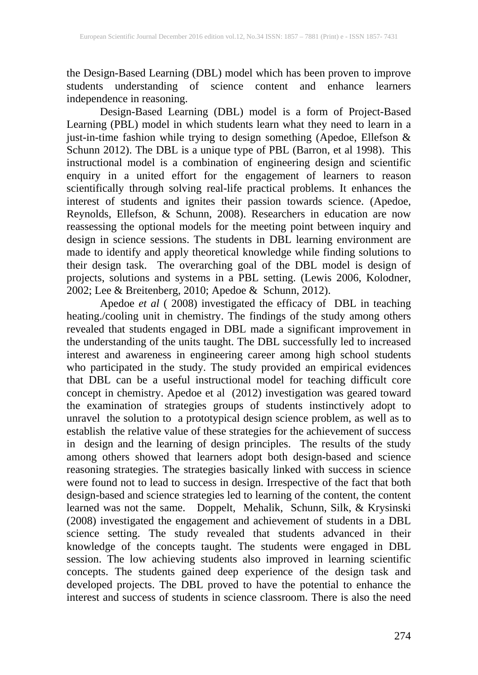the Design-Based Learning (DBL) model which has been proven to improve students understanding of science content and enhance learners independence in reasoning.

Design-Based Learning (DBL) model is a form of Project-Based Learning (PBL) model in which students learn what they need to learn in a just-in-time fashion while trying to design something (Apedoe, Ellefson & Schunn 2012). The DBL is a unique type of PBL (Barron, et al 1998). This instructional model is a combination of engineering design and scientific enquiry in a united effort for the engagement of learners to reason scientifically through solving real-life practical problems. It enhances the interest of students and ignites their passion towards science. (Apedoe, Reynolds, Ellefson, & Schunn, 2008). Researchers in education are now reassessing the optional models for the meeting point between inquiry and design in science sessions. The students in DBL learning environment are made to identify and apply theoretical knowledge while finding solutions to their design task. The overarching goal of the DBL model is design of projects, solutions and systems in a PBL setting. (Lewis 2006, Kolodner, 2002; Lee & Breitenberg, 2010; Apedoe & Schunn, 2012).

Apedoe *et al* ( 2008) investigated the efficacy of DBL in teaching heating./cooling unit in chemistry. The findings of the study among others revealed that students engaged in DBL made a significant improvement in the understanding of the units taught. The DBL successfully led to increased interest and awareness in engineering career among high school students who participated in the study. The study provided an empirical evidences that DBL can be a useful instructional model for teaching difficult core concept in chemistry. Apedoe et al (2012) investigation was geared toward the examination of strategies groups of students instinctively adopt to unravel the solution to a prototypical design science problem, as well as to establish the relative value of these strategies for the achievement of success in design and the learning of design principles. The results of the study among others showed that learners adopt both design-based and science reasoning strategies. The strategies basically linked with success in science were found not to lead to success in design. Irrespective of the fact that both design-based and science strategies led to learning of the content, the content learned was not the same.Doppelt, Mehalik, Schunn, Silk, & Krysinski (2008) investigated the engagement and achievement of students in a DBL science setting. The study revealed that students advanced in their knowledge of the concepts taught. The students were engaged in DBL session. The low achieving students also improved in learning scientific concepts. The students gained deep experience of the design task and developed projects. The DBL proved to have the potential to enhance the interest and success of students in science classroom. There is also the need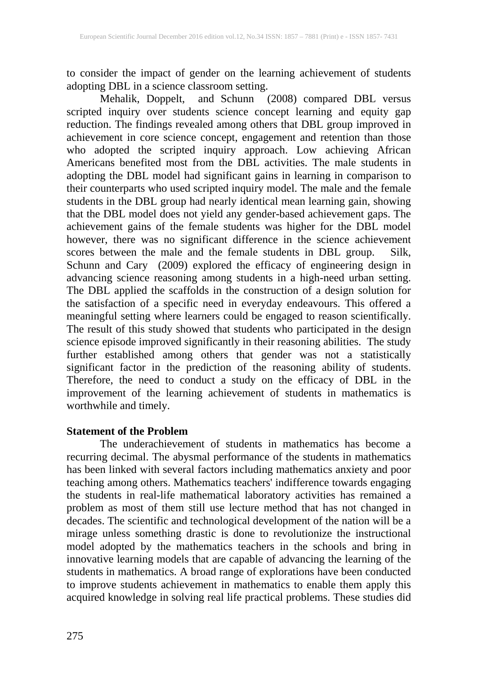to consider the impact of gender on the learning achievement of students adopting DBL in a science classroom setting.

Mehalik, Doppelt, and Schunn (2008) compared DBL versus scripted inquiry over students science concept learning and equity gap reduction. The findings revealed among others that DBL group improved in achievement in core science concept, engagement and retention than those who adopted the scripted inquiry approach. Low achieving African Americans benefited most from the DBL activities. The male students in adopting the DBL model had significant gains in learning in comparison to their counterparts who used scripted inquiry model. The male and the female students in the DBL group had nearly identical mean learning gain, showing that the DBL model does not yield any gender-based achievement gaps. The achievement gains of the female students was higher for the DBL model however, there was no significant difference in the science achievement scores between the male and the female students in DBL group. Silk, Schunn and Cary (2009) explored the efficacy of engineering design in advancing science reasoning among students in a high-need urban setting. The DBL applied the scaffolds in the construction of a design solution for the satisfaction of a specific need in everyday endeavours. This offered a meaningful setting where learners could be engaged to reason scientifically. The result of this study showed that students who participated in the design science episode improved significantly in their reasoning abilities. The study further established among others that gender was not a statistically significant factor in the prediction of the reasoning ability of students. Therefore, the need to conduct a study on the efficacy of DBL in the improvement of the learning achievement of students in mathematics is worthwhile and timely.

### **Statement of the Problem**

The underachievement of students in mathematics has become a recurring decimal. The abysmal performance of the students in mathematics has been linked with several factors including mathematics anxiety and poor teaching among others. Mathematics teachers' indifference towards engaging the students in real-life mathematical laboratory activities has remained a problem as most of them still use lecture method that has not changed in decades. The scientific and technological development of the nation will be a mirage unless something drastic is done to revolutionize the instructional model adopted by the mathematics teachers in the schools and bring in innovative learning models that are capable of advancing the learning of the students in mathematics. A broad range of explorations have been conducted to improve students achievement in mathematics to enable them apply this acquired knowledge in solving real life practical problems. These studies did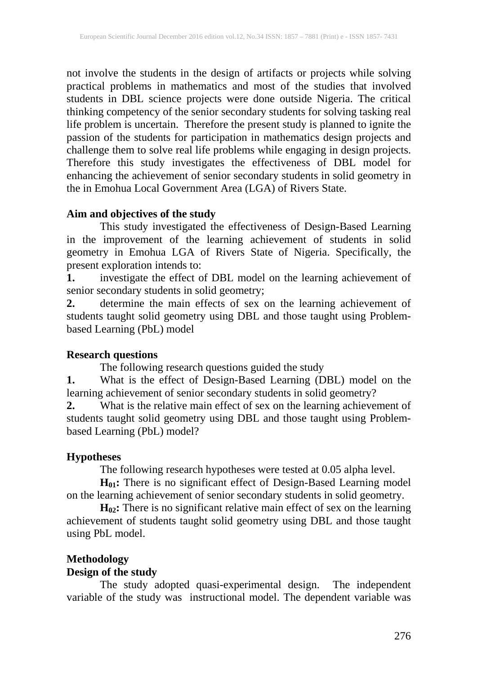not involve the students in the design of artifacts or projects while solving practical problems in mathematics and most of the studies that involved students in DBL science projects were done outside Nigeria. The critical thinking competency of the senior secondary students for solving tasking real life problem is uncertain. Therefore the present study is planned to ignite the passion of the students for participation in mathematics design projects and challenge them to solve real life problems while engaging in design projects. Therefore this study investigates the effectiveness of DBL model for enhancing the achievement of senior secondary students in solid geometry in the in Emohua Local Government Area (LGA) of Rivers State.

# **Aim and objectives of the study**

This study investigated the effectiveness of Design-Based Learning in the improvement of the learning achievement of students in solid geometry in Emohua LGA of Rivers State of Nigeria. Specifically, the present exploration intends to:

**1.** investigate the effect of DBL model on the learning achievement of senior secondary students in solid geometry;

**2.** determine the main effects of sex on the learning achievement of students taught solid geometry using DBL and those taught using Problembased Learning (PbL) model

# **Research questions**

The following research questions guided the study

**1.** What is the effect of Design-Based Learning (DBL) model on the learning achievement of senior secondary students in solid geometry?

**2.** What is the relative main effect of sex on the learning achievement of students taught solid geometry using DBL and those taught using Problembased Learning (PbL) model?

# **Hypotheses**

The following research hypotheses were tested at 0.05 alpha level.

**H01:** There is no significant effect of Design-Based Learning model on the learning achievement of senior secondary students in solid geometry.

**H02:** There is no significant relative main effect of sex on the learning achievement of students taught solid geometry using DBL and those taught using PbL model.

# **Methodology**

# **Design of the study**

The study adopted quasi-experimental design. The independent variable of the study was instructional model. The dependent variable was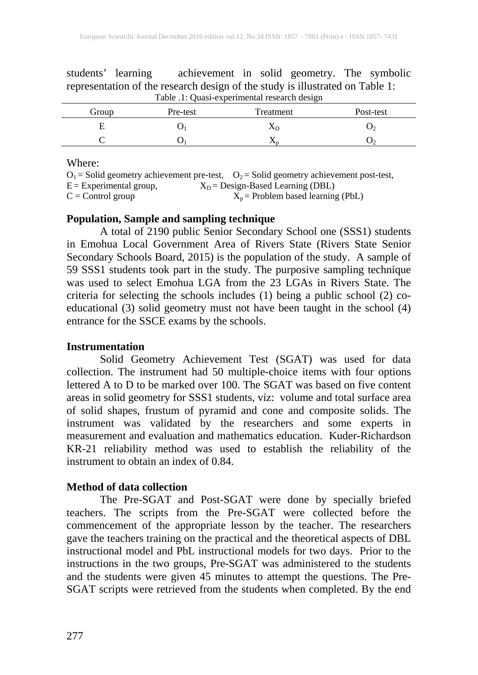| Table .1: Quasi-experimental research design |          |           |           |  |  |  |  |  |
|----------------------------------------------|----------|-----------|-----------|--|--|--|--|--|
| Group                                        | Pre-test | Treatment | Post-test |  |  |  |  |  |
|                                              |          | ΛD        |           |  |  |  |  |  |
|                                              |          |           |           |  |  |  |  |  |

students' learning achievement in solid geometry. The symbolic representation of the research design of the study is illustrated on Table 1:

#### Where:

|                           | $O_1$ = Solid geometry achievement pre-test, $O_2$ = Solid geometry achievement post-test, |
|---------------------------|--------------------------------------------------------------------------------------------|
| $E =$ Experimental group, | $X_D$ = Design-Based Learning (DBL)                                                        |
| $C =$ Control group       | $X_p$ = Problem based learning (PbL)                                                       |

# **Population, Sample and sampling technique**

A total of 2190 public Senior Secondary School one (SSS1) students in Emohua Local Government Area of Rivers State (Rivers State Senior Secondary Schools Board, 2015) is the population of the study. A sample of 59 SSS1 students took part in the study. The purposive sampling technique was used to select Emohua LGA from the 23 LGAs in Rivers State. The criteria for selecting the schools includes (1) being a public school (2) coeducational (3) solid geometry must not have been taught in the school (4) entrance for the SSCE exams by the schools.

#### **Instrumentation**

Solid Geometry Achievement Test (SGAT) was used for data collection. The instrument had 50 multiple-choice items with four options lettered A to D to be marked over 100. The SGAT was based on five content areas in solid geometry for SSS1 students, viz: volume and total surface area of solid shapes, frustum of pyramid and cone and composite solids. The instrument was validated by the researchers and some experts in measurement and evaluation and mathematics education. Kuder-Richardson KR-21 reliability method was used to establish the reliability of the instrument to obtain an index of 0.84.

# **Method of data collection**

The Pre-SGAT and Post-SGAT were done by specially briefed teachers. The scripts from the Pre-SGAT were collected before the commencement of the appropriate lesson by the teacher. The researchers gave the teachers training on the practical and the theoretical aspects of DBL instructional model and PbL instructional models for two days. Prior to the instructions in the two groups, Pre-SGAT was administered to the students and the students were given 45 minutes to attempt the questions. The Pre-SGAT scripts were retrieved from the students when completed. By the end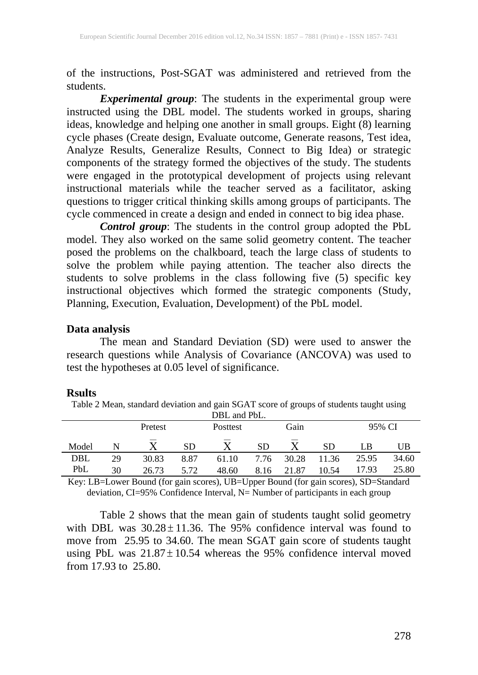of the instructions, Post-SGAT was administered and retrieved from the students.

*Experimental group*: The students in the experimental group were instructed using the DBL model. The students worked in groups, sharing ideas, knowledge and helping one another in small groups. Eight (8) learning cycle phases (Create design, Evaluate outcome, Generate reasons, Test idea, Analyze Results, Generalize Results, Connect to Big Idea) or strategic components of the strategy formed the objectives of the study. The students were engaged in the prototypical development of projects using relevant instructional materials while the teacher served as a facilitator, asking questions to trigger critical thinking skills among groups of participants. The cycle commenced in create a design and ended in connect to big idea phase.

*Control group*: The students in the control group adopted the PbL model. They also worked on the same solid geometry content. The teacher posed the problems on the chalkboard, teach the large class of students to solve the problem while paying attention. The teacher also directs the students to solve problems in the class following five (5) specific key instructional objectives which formed the strategic components (Study, Planning, Execution, Evaluation, Development) of the PbL model.

#### **Data analysis**

The mean and Standard Deviation (SD) were used to answer the research questions while Analysis of Covariance (ANCOVA) was used to test the hypotheses at 0.05 level of significance.

#### **Rsults**

Table 2 Mean, standard deviation and gain SGAT score of groups of students taught using DDL and DhL

|       |    | Pretest | <b>Posttest</b> | Gain  |           |       | 95% CI |       |       |
|-------|----|---------|-----------------|-------|-----------|-------|--------|-------|-------|
| Model |    |         | <b>SD</b>       |       | <b>SD</b> | --    | SD     | LB    | UB    |
| DBL   | 29 | 30.83   | 8.87            | 61.10 | 7.76      | 30.28 | 11.36  | 25.95 | 34.60 |
| PbL   | 30 | 26.73   | 5.72            | 48.60 | 8.16      | 21.87 | 10.54  | 17.93 | 25.80 |

Key: LB=Lower Bound (for gain scores), UB=Upper Bound (for gain scores), SD=Standard deviation, CI=95% Confidence Interval, N= Number of participants in each group

Table 2 shows that the mean gain of students taught solid geometry with DBL was  $30.28 \pm 11.36$ . The 95% confidence interval was found to move from 25.95 to 34.60. The mean SGAT gain score of students taught using PbL was  $21.87 \pm 10.54$  whereas the 95% confidence interval moved from 17.93 to 25.80.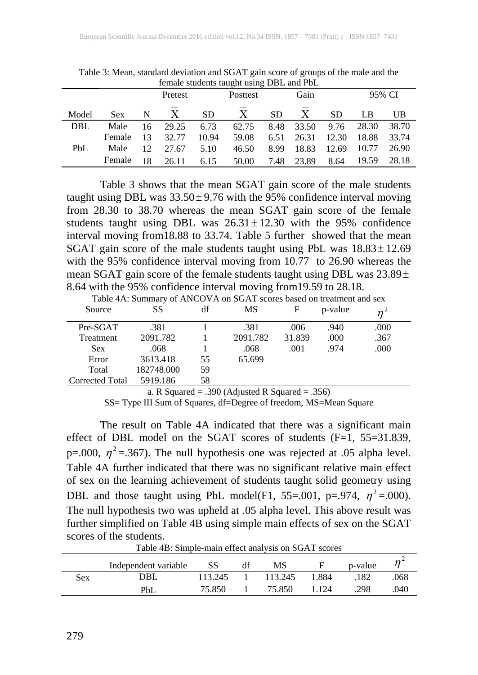| remale students taught using DBL and PDL |            |    |         |           |                  |      |       |           |       |       |
|------------------------------------------|------------|----|---------|-----------|------------------|------|-------|-----------|-------|-------|
|                                          |            |    | Pretest |           | Gain<br>Posttest |      |       | 95% CI    |       |       |
| Model                                    | <b>Sex</b> | N  | X       | <b>SD</b> | X                | SD.  | X     | <b>SD</b> | LB    | UB    |
| <b>DBL</b>                               | Male       | 16 | 29.25   | 6.73      | 62.75            | 8.48 | 33.50 | 9.76      | 28.30 | 38.70 |
|                                          | Female     | 13 | 32.77   | 10.94     | 59.08            | 6.51 | 26.31 | 12.30     | 18.88 | 33.74 |
| <b>PbL</b>                               | Male       | 12 | 27.67   | 5.10      | 46.50            | 8.99 | 18.83 | 12.69     | 10.77 | 26.90 |
|                                          | Female     | 18 | 26.11   | 6.15      | 50.00            | 7.48 | 23.89 | 8.64      | 19.59 | 28.18 |

Table 3: Mean, standard deviation and SGAT gain score of groups of the male and the<br>formal students taught using DPL and DH female students taught us

Table 3 shows that the mean SGAT gain score of the male students taught using DBL was  $33.50 \pm 9.76$  with the 95% confidence interval moving from 28.30 to 38.70 whereas the mean SGAT gain score of the female students taught using DBL was  $26.31 \pm 12.30$  with the 95% confidence interval moving from18.88 to 33.74. Table 5 further showed that the mean SGAT gain score of the male students taught using PbL was  $18.83 \pm 12.69$ with the 95% confidence interval moving from 10.77 to 26.90 whereas the mean SGAT gain score of the female students taught using DBL was  $23.89 \pm$ 8.64 with the 95% confidence interval moving from19.59 to 28.18.

| Source          | SS         | df | MS       | F      | p-value |      |
|-----------------|------------|----|----------|--------|---------|------|
| Pre-SGAT        | .381       |    | .381     | .006   | .940    | .000 |
| Treatment       | 2091.782   |    | 2091.782 | 31.839 | .000    | .367 |
| <b>Sex</b>      | .068       |    | .068     | .001   | .974    | .000 |
| Error           | 3613.418   | 55 | 65.699   |        |         |      |
| Total           | 182748.000 | 59 |          |        |         |      |
| Corrected Total | 5919.186   | 58 |          |        |         |      |
|                 |            |    |          |        |         |      |

Table 4A: Summary of ANCOVA on SGAT scores based on treatment and sex

a. R Squared  $= .390$  (Adjusted R Squared  $= .356$ )

SS= Type III Sum of Squares, df=Degree of freedom, MS=Mean Square

The result on Table 4A indicated that there was a significant main effect of DBL model on the SGAT scores of students  $(F=1, 55=31.839,$ p=.000,  $\eta^2$  =.367). The null hypothesis one was rejected at .05 alpha level. Table 4A further indicated that there was no significant relative main effect of sex on the learning achievement of students taught solid geometry using DBL and those taught using PbL model(F1, 55=.001, p=.974,  $\eta^2$  =.000). The null hypothesis two was upheld at .05 alpha level. This above result was further simplified on Table 4B using simple main effects of sex on the SGAT scores of the students.

|     | Independent variable | SS      | MS      |       | p-value |     |
|-----|----------------------|---------|---------|-------|---------|-----|
| Sex | DBL                  | 113.245 | 113.245 | 1.884 | 182     | 068 |
|     | <b>PbL</b>           | 75.850  | 75.850  | 124   | .298    | 040 |

Table 4B: Simple-main effect analysis on SGAT scores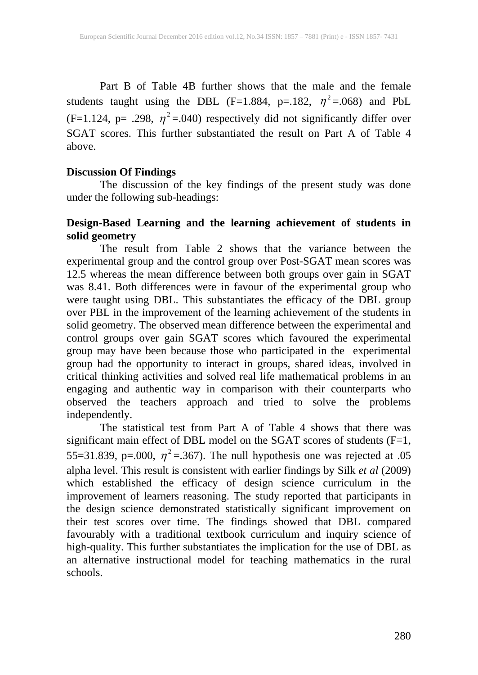Part B of Table 4B further shows that the male and the female students taught using the DBL (F=1.884, p=.182,  $\eta^2$ =.068) and PbL (F=1.124, p= .298,  $\eta^2$ =.040) respectively did not significantly differ over SGAT scores. This further substantiated the result on Part A of Table 4 above.

#### **Discussion Of Findings**

The discussion of the key findings of the present study was done under the following sub-headings:

# **Design-Based Learning and the learning achievement of students in solid geometry**

The result from Table 2 shows that the variance between the experimental group and the control group over Post-SGAT mean scores was 12.5 whereas the mean difference between both groups over gain in SGAT was 8.41. Both differences were in favour of the experimental group who were taught using DBL. This substantiates the efficacy of the DBL group over PBL in the improvement of the learning achievement of the students in solid geometry. The observed mean difference between the experimental and control groups over gain SGAT scores which favoured the experimental group may have been because those who participated in the experimental group had the opportunity to interact in groups, shared ideas, involved in critical thinking activities and solved real life mathematical problems in an engaging and authentic way in comparison with their counterparts who observed the teachers approach and tried to solve the problems independently.

The statistical test from Part A of Table 4 shows that there was significant main effect of DBL model on the SGAT scores of students  $(F=1,$ 55=31.839, p=.000,  $\eta^2$  =.367). The null hypothesis one was rejected at .05 alpha level. This result is consistent with earlier findings by Silk *et al* (2009) which established the efficacy of design science curriculum in the improvement of learners reasoning. The study reported that participants in the design science demonstrated statistically significant improvement on their test scores over time. The findings showed that DBL compared favourably with a traditional textbook curriculum and inquiry science of high-quality. This further substantiates the implication for the use of DBL as an alternative instructional model for teaching mathematics in the rural schools.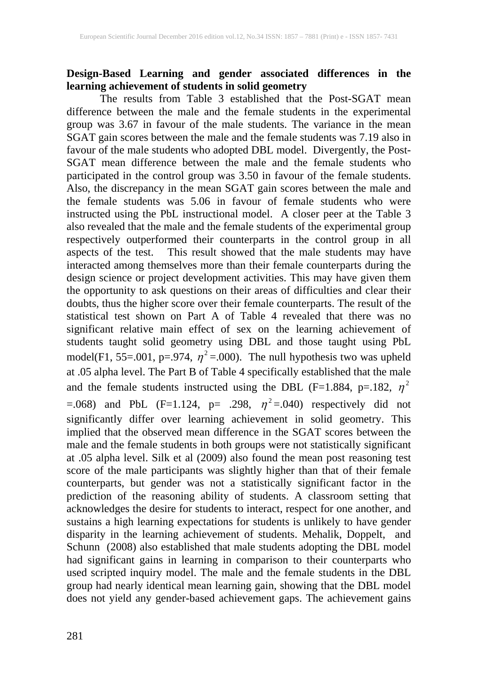### **Design-Based Learning and gender associated differences in the learning achievement of students in solid geometry**

The results from Table 3 established that the Post-SGAT mean difference between the male and the female students in the experimental group was 3.67 in favour of the male students. The variance in the mean SGAT gain scores between the male and the female students was 7.19 also in favour of the male students who adopted DBL model. Divergently, the Post-SGAT mean difference between the male and the female students who participated in the control group was 3.50 in favour of the female students. Also, the discrepancy in the mean SGAT gain scores between the male and the female students was 5.06 in favour of female students who were instructed using the PbL instructional model. A closer peer at the Table 3 also revealed that the male and the female students of the experimental group respectively outperformed their counterparts in the control group in all aspects of the test. This result showed that the male students may have interacted among themselves more than their female counterparts during the design science or project development activities. This may have given them the opportunity to ask questions on their areas of difficulties and clear their doubts, thus the higher score over their female counterparts. The result of the statistical test shown on Part A of Table 4 revealed that there was no significant relative main effect of sex on the learning achievement of students taught solid geometry using DBL and those taught using PbL model(F1, 55=.001, p=.974,  $\eta^2$  =.000). The null hypothesis two was upheld at .05 alpha level. The Part B of Table 4 specifically established that the male and the female students instructed using the DBL (F=1.884, p=.182,  $\eta^2$ =.068) and PbL (F=1.124, p= .298,  $\eta^2$ =.040) respectively did not significantly differ over learning achievement in solid geometry. This implied that the observed mean difference in the SGAT scores between the implied that the observed mean difference in the SGAT scores between the male and the female students in both groups were not statistically significant at .05 alpha level. Silk et al (2009) also found the mean post reasoning test score of the male participants was slightly higher than that of their female counterparts, but gender was not a statistically significant factor in the prediction of the reasoning ability of students. A classroom setting that acknowledges the desire for students to interact, respect for one another, and sustains a high learning expectations for students is unlikely to have gender disparity in the learning achievement of students. Mehalik, Doppelt, and Schunn (2008) also established that male students adopting the DBL model had significant gains in learning in comparison to their counterparts who used scripted inquiry model. The male and the female students in the DBL group had nearly identical mean learning gain, showing that the DBL model does not yield any gender-based achievement gaps. The achievement gains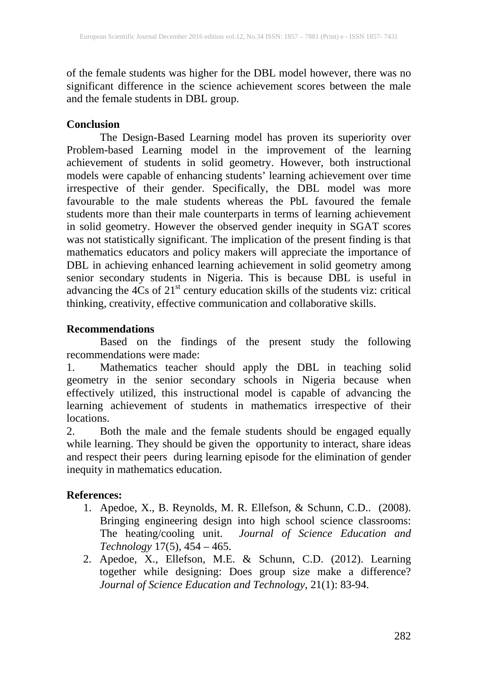of the female students was higher for the DBL model however, there was no significant difference in the science achievement scores between the male and the female students in DBL group.

# **Conclusion**

The Design-Based Learning model has proven its superiority over Problem-based Learning model in the improvement of the learning achievement of students in solid geometry. However, both instructional models were capable of enhancing students' learning achievement over time irrespective of their gender. Specifically, the DBL model was more favourable to the male students whereas the PbL favoured the female students more than their male counterparts in terms of learning achievement in solid geometry. However the observed gender inequity in SGAT scores was not statistically significant. The implication of the present finding is that mathematics educators and policy makers will appreciate the importance of DBL in achieving enhanced learning achievement in solid geometry among senior secondary students in Nigeria. This is because DBL is useful in advancing the  $4Cs$  of  $21<sup>st</sup>$  century education skills of the students viz: critical thinking, creativity, effective communication and collaborative skills.

# **Recommendations**

Based on the findings of the present study the following recommendations were made:

1. Mathematics teacher should apply the DBL in teaching solid geometry in the senior secondary schools in Nigeria because when effectively utilized, this instructional model is capable of advancing the learning achievement of students in mathematics irrespective of their locations.

2. Both the male and the female students should be engaged equally while learning. They should be given the opportunity to interact, share ideas and respect their peers during learning episode for the elimination of gender inequity in mathematics education.

# **References:**

- 1. Apedoe, X., B. Reynolds, M. R. Ellefson, & Schunn, C.D.. (2008). Bringing engineering design into high school science classrooms: The heating/cooling unit. *Journal of Science Education and Technology* 17(5), 454 – 465.
- 2. Apedoe, X., Ellefson, M.E. & Schunn, C.D. (2012). Learning together while designing: Does group size make a difference? *Journal of Science Education and Technology*, 21(1): 83-94.